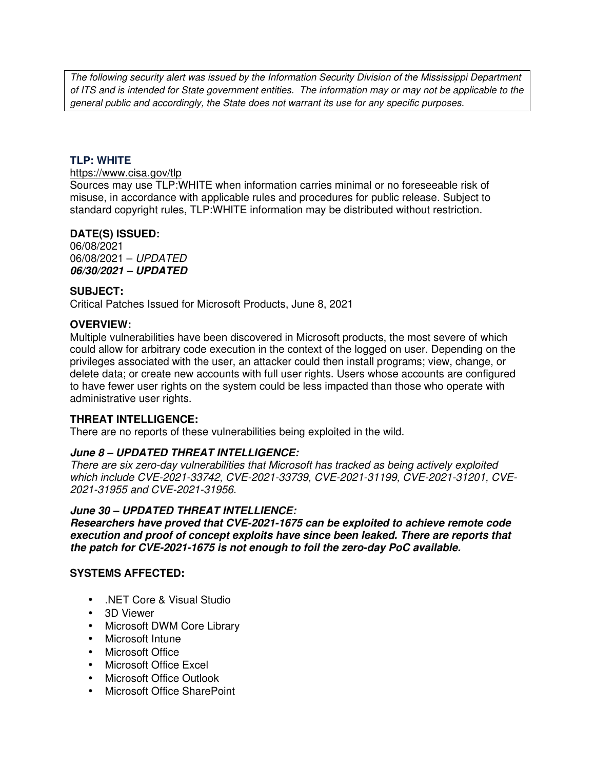*The following security alert was issued by the Information Security Division of the Mississippi Department of ITS and is intended for State government entities. The information may or may not be applicable to the general public and accordingly, the State does not warrant its use for any specific purposes.* 

#### **TLP: WHITE**

## https://www.cisa.gov/tlp

Sources may use TLP:WHITE when information carries minimal or no foreseeable risk of misuse, in accordance with applicable rules and procedures for public release. Subject to standard copyright rules, TLP:WHITE information may be distributed without restriction.

## **DATE(S) ISSUED:**

06/08/2021 06/08/2021 – *UPDATED 06/30/2021 – UPDATED* 

#### **SUBJECT:**

Critical Patches Issued for Microsoft Products, June 8, 2021

#### **OVERVIEW:**

Multiple vulnerabilities have been discovered in Microsoft products, the most severe of which could allow for arbitrary code execution in the context of the logged on user. Depending on the privileges associated with the user, an attacker could then install programs; view, change, or delete data; or create new accounts with full user rights. Users whose accounts are configured to have fewer user rights on the system could be less impacted than those who operate with administrative user rights.

## **THREAT INTELLIGENCE:**

There are no reports of these vulnerabilities being exploited in the wild.

## *June 8 – UPDATED THREAT INTELLIGENCE:*

*There are six zero-day vulnerabilities that Microsoft has tracked as being actively exploited which include CVE-2021-33742, CVE-2021-33739, CVE-2021-31199, CVE-2021-31201, CVE-2021-31955 and CVE-2021-31956.*

#### *June 30 – UPDATED THREAT INTELLIENCE:*

*Researchers have proved that CVE-2021-1675 can be exploited to achieve remote code execution and proof of concept exploits have since been leaked. There are reports that the patch for CVE-2021-1675 is not enough to foil the zero-day PoC available.*

#### **SYSTEMS AFFECTED:**

- .NET Core & Visual Studio
- 3D Viewer
- Microsoft DWM Core Library
- Microsoft Intune
- Microsoft Office
- Microsoft Office Excel
- Microsoft Office Outlook
- Microsoft Office SharePoint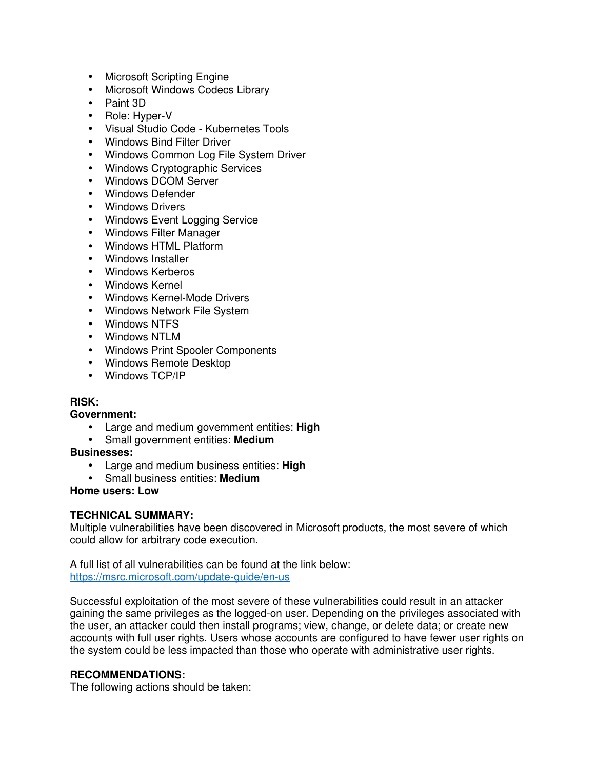- Microsoft Scripting Engine
- Microsoft Windows Codecs Library
- Paint 3D
- Role: Hyper-V
- Visual Studio Code Kubernetes Tools
- Windows Bind Filter Driver
- Windows Common Log File System Driver
- Windows Cryptographic Services
- Windows DCOM Server
- Windows Defender
- Windows Drivers
- Windows Event Logging Service
- Windows Filter Manager
- Windows HTML Platform
- Windows Installer
- Windows Kerberos
- Windows Kernel
- Windows Kernel-Mode Drivers
- Windows Network File System
- Windows NTFS
- Windows NTLM
- Windows Print Spooler Components
- Windows Remote Desktop
- Windows TCP/IP

## **RISK:**

## **Government:**

- Large and medium government entities: **High**
- Small government entities: **Medium**

**Businesses:**

- Large and medium business entities: **High**
- Small business entities: **Medium**

## **Home users: Low**

## **TECHNICAL SUMMARY:**

Multiple vulnerabilities have been discovered in Microsoft products, the most severe of which could allow for arbitrary code execution.

A full list of all vulnerabilities can be found at the link below: https://msrc.microsoft.com/update-guide/en-us

Successful exploitation of the most severe of these vulnerabilities could result in an attacker gaining the same privileges as the logged-on user. Depending on the privileges associated with the user, an attacker could then install programs; view, change, or delete data; or create new accounts with full user rights. Users whose accounts are configured to have fewer user rights on the system could be less impacted than those who operate with administrative user rights.

## **RECOMMENDATIONS:**

The following actions should be taken: